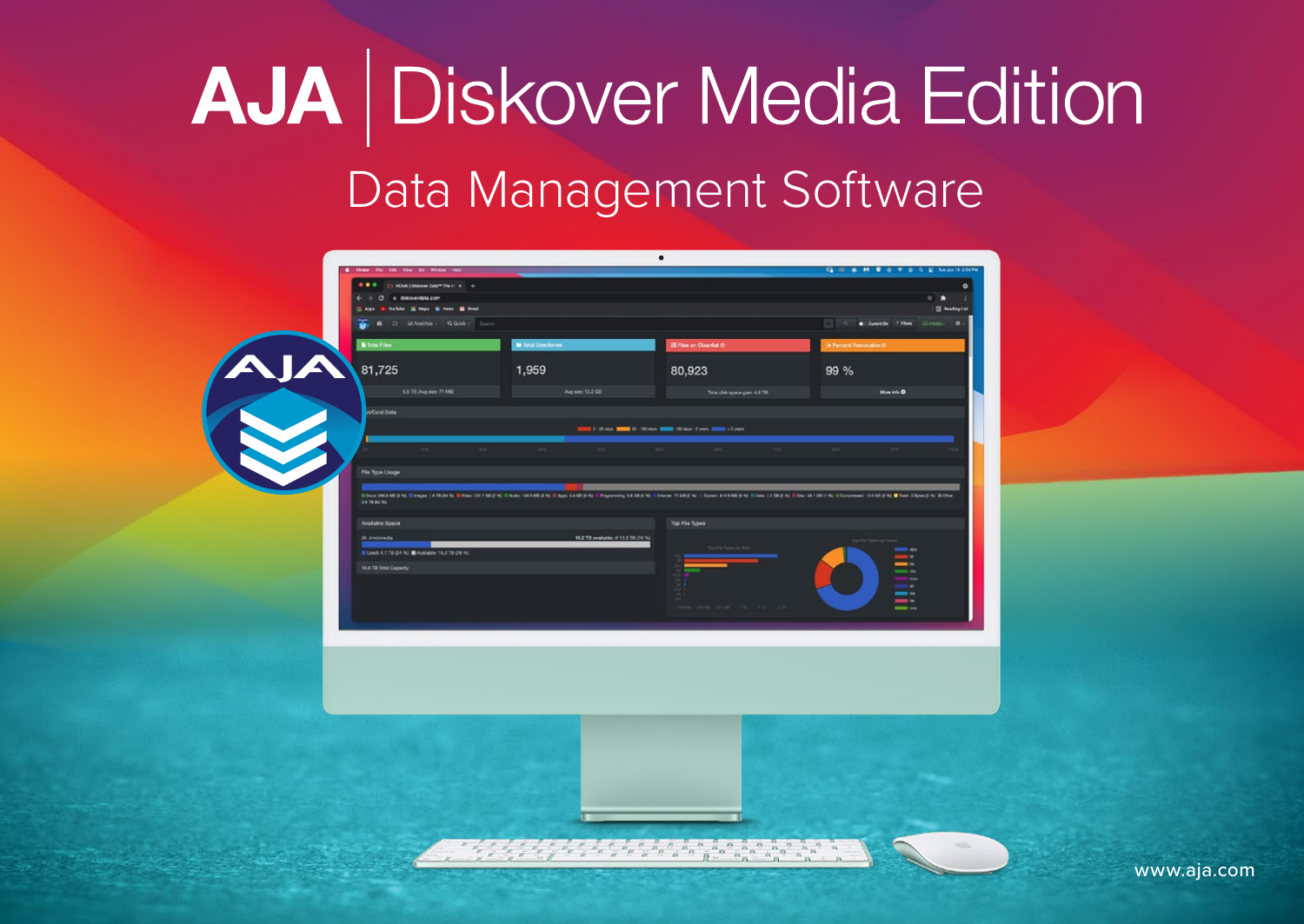# AJA Diskover Media Edition [Data Management Software](https://www.aja.com/products/aja-diskover-media-edition)

| <b>B</b> Total Files                         | <b>In Total Directories</b>          | <b>IE Files on Clearlist @</b>                                             | <sup>9</sup> Percent Removable (3)                                                                                                                                                                                            |
|----------------------------------------------|--------------------------------------|----------------------------------------------------------------------------|-------------------------------------------------------------------------------------------------------------------------------------------------------------------------------------------------------------------------------|
| 81,725                                       | 1,959                                | 80,923                                                                     | 99 %                                                                                                                                                                                                                          |
| 5.5 TB (Aug size: 71 MB)                     | Ag size: 12.2 GB                     | Total click space gain: 4.6 TB                                             | More info O<br><b>Service Control</b>                                                                                                                                                                                         |
| svCold Data                                  |                                      |                                                                            |                                                                                                                                                                                                                               |
|                                              |                                      | 0 - 30 days 10000 30 - 100 days 100000 100 days - 2 years 100000 > 2 years |                                                                                                                                                                                                                               |
|                                              | $\sim$                               |                                                                            |                                                                                                                                                                                                                               |
| File Type Usage                              |                                      |                                                                            |                                                                                                                                                                                                                               |
| 2.9 TO 63 % !                                |                                      |                                                                            | EDux 2068 MEPA) Emigre 1478 DENI ENW 107708 D.N.Air 1455 MEPA) Edgs 4500 DN - Programing 5800 DN - Element 7500 DN - Toyane 255 MEPA) EDGs 17 OR DN - EDGs 45 03 DN - EDGs 45 05 DN - EDGs 45 05 DN - EDGs 45 05 DN - EDGs 45 |
| Available Space                              |                                      | Top File Types                                                             |                                                                                                                                                                                                                               |
| di <i>Impireda</i>                           | 15.2 TB available of 19.9 TB (76.14) |                                                                            |                                                                                                                                                                                                                               |
| Used 4.7 TB (24 %) BAvaliable 15.2 TB (76 %) |                                      | by Pin Types in Rive                                                       | t de<br>u in<br>a se                                                                                                                                                                                                          |
| 19.9 TB Total Capacity                       |                                      |                                                                            | <b>COM</b><br>mo                                                                                                                                                                                                              |
|                                              |                                      |                                                                            | $\blacksquare$<br><br>$-$                                                                                                                                                                                                     |
|                                              |                                      |                                                                            | $\frac{1}{2}$                                                                                                                                                                                                                 |
|                                              |                                      |                                                                            |                                                                                                                                                                                                                               |
|                                              |                                      |                                                                            |                                                                                                                                                                                                                               |
|                                              |                                      |                                                                            |                                                                                                                                                                                                                               |
|                                              |                                      |                                                                            |                                                                                                                                                                                                                               |
|                                              |                                      |                                                                            |                                                                                                                                                                                                                               |
|                                              |                                      |                                                                            |                                                                                                                                                                                                                               |
|                                              |                                      |                                                                            |                                                                                                                                                                                                                               |
|                                              |                                      |                                                                            |                                                                                                                                                                                                                               |
|                                              |                                      |                                                                            |                                                                                                                                                                                                                               |

www.aja.com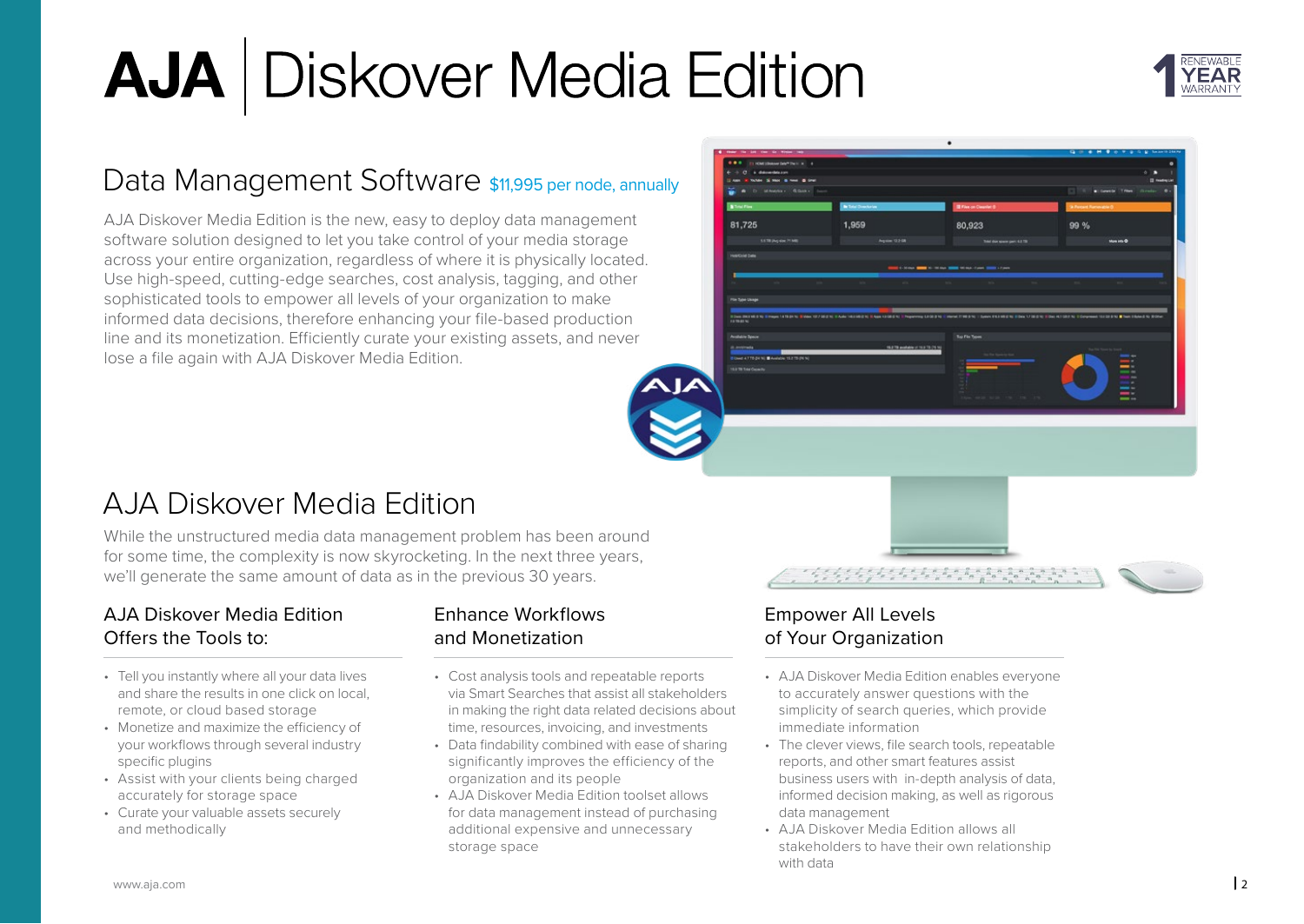

### [Data Management Software](https://www.aja.com/products/aja-diskover-media-edition) \$11,995 per node, annually

AJA Diskover Media Edition is the new, easy to deploy data management software solution designed to let you take control of your media storage across your entire organization, regardless of where it is physically located. Use high-speed, cutting-edge searches, cost analysis, tagging, and other sophisticated tools to empower all levels of your organization to make informed data decisions, therefore enhancing your file-based production line and its monetization. Efficiently curate your existing assets, and never lose a file again with AJA Diskover Media Edition.



### AJA Diskover Media Edition

While the unstructured media data management problem has been around for some time, the complexity is now skyrocketing. In the next three years, we'll generate the same amount of data as in the previous 30 years.

#### AJA Diskover Media Edition Offers the Tools to:

- Tell you instantly where all your data lives and share the results in one click on local, remote, or cloud based storage
- Monetize and maximize the efficiency of your workflows through several industry specific plugins
- Assist with your clients being charged accurately for storage space
- Curate your valuable assets securely and methodically

#### Enhance Workflows and Monetization

- Cost analysis tools and repeatable reports via Smart Searches that assist all stakeholders in making the right data related decisions about time, resources, invoicing, and investments
- Data findability combined with ease of sharing significantly improves the efficiency of the organization and its people
- AJA Diskover Media Edition toolset allows for data management instead of purchasing additional expensive and unnecessary storage space

#### Empower All Levels of Your Organization

- AJA Diskover Media Edition enables everyone to accurately answer questions with the simplicity of search queries, which provide immediate information
- The clever views, file search tools, repeatable reports, and other smart features assist business users with in-depth analysis of data, informed decision making, as well as rigorous data management
- AJA Diskover Media Edition allows all stakeholders to have their own relationship with data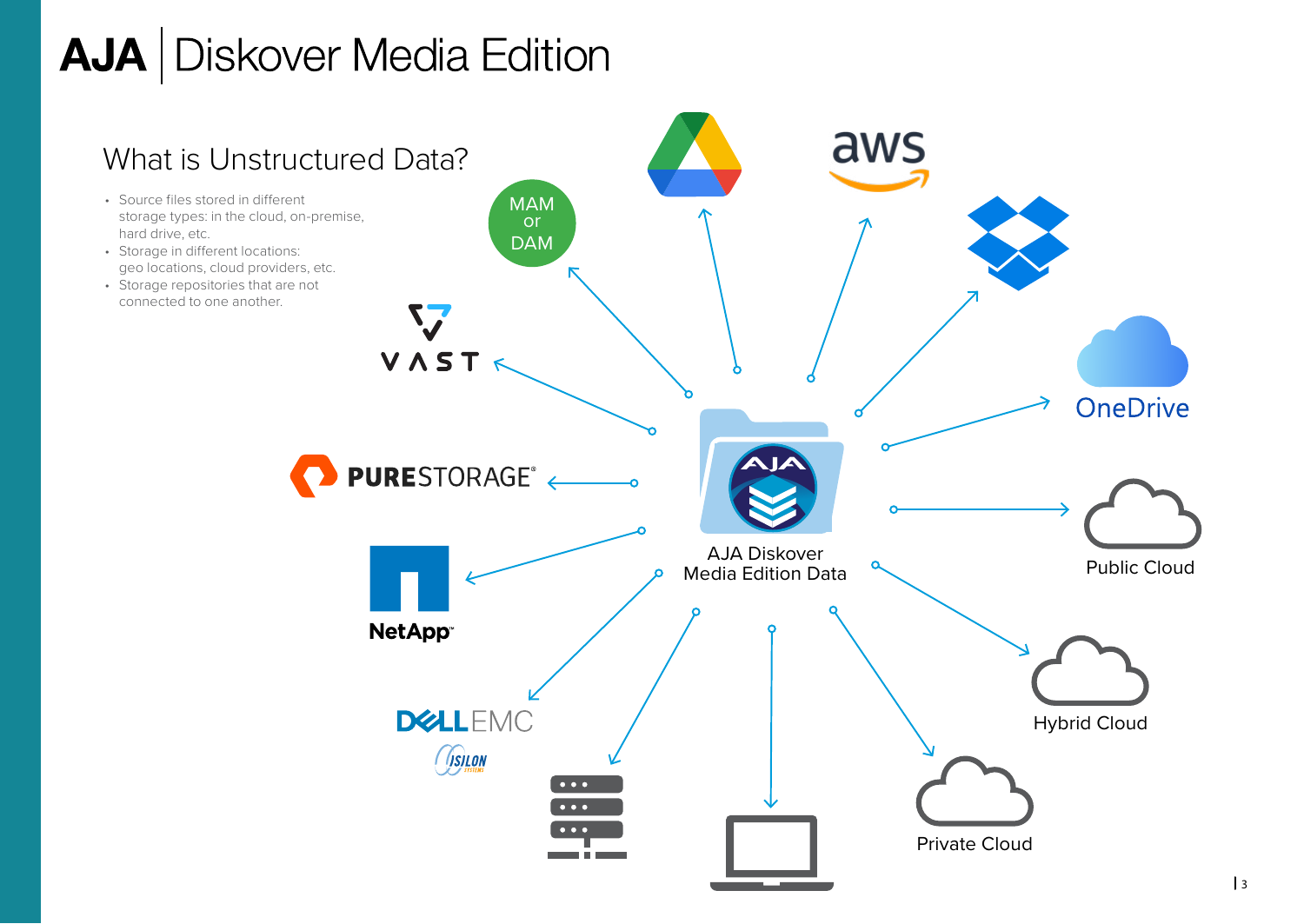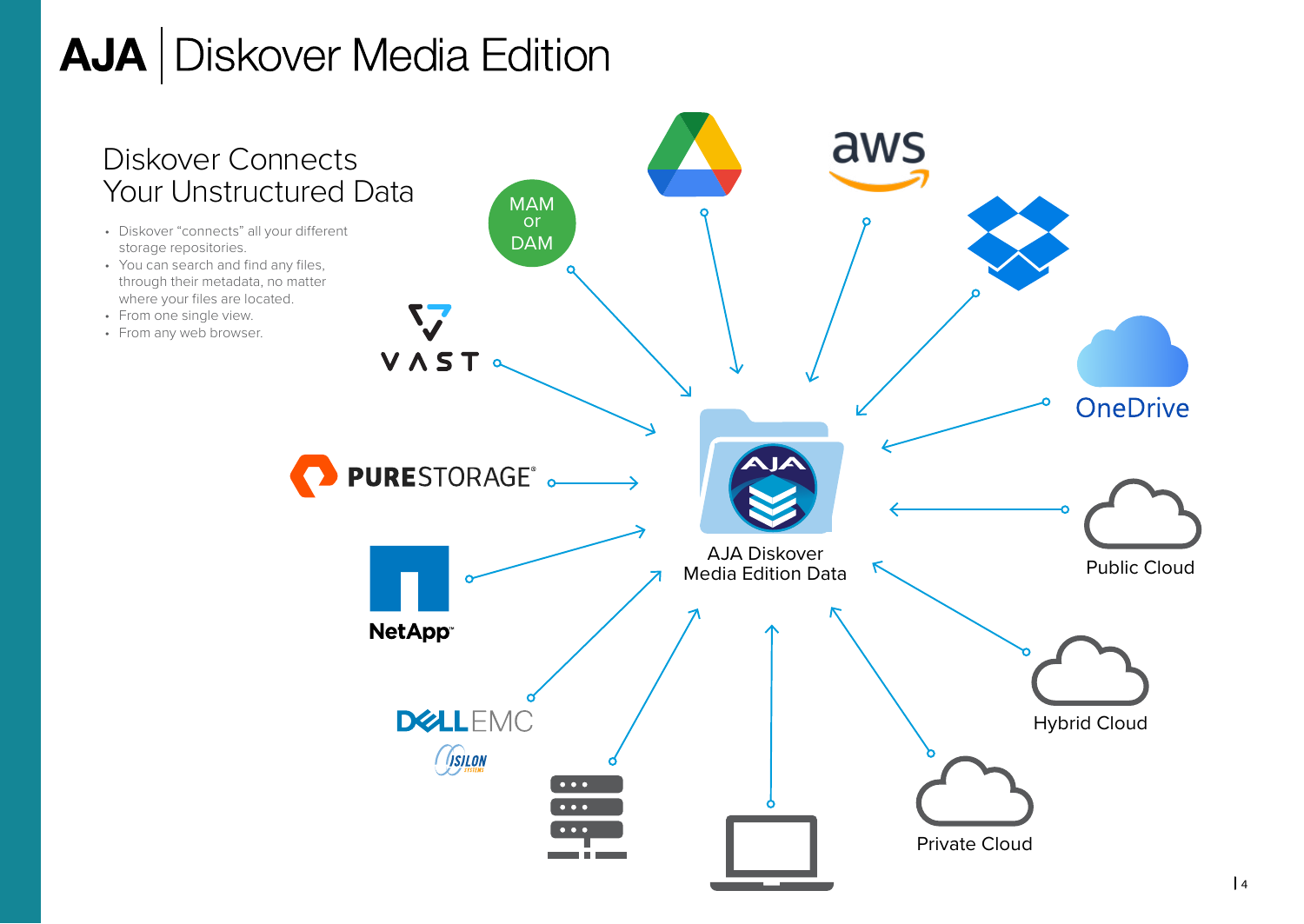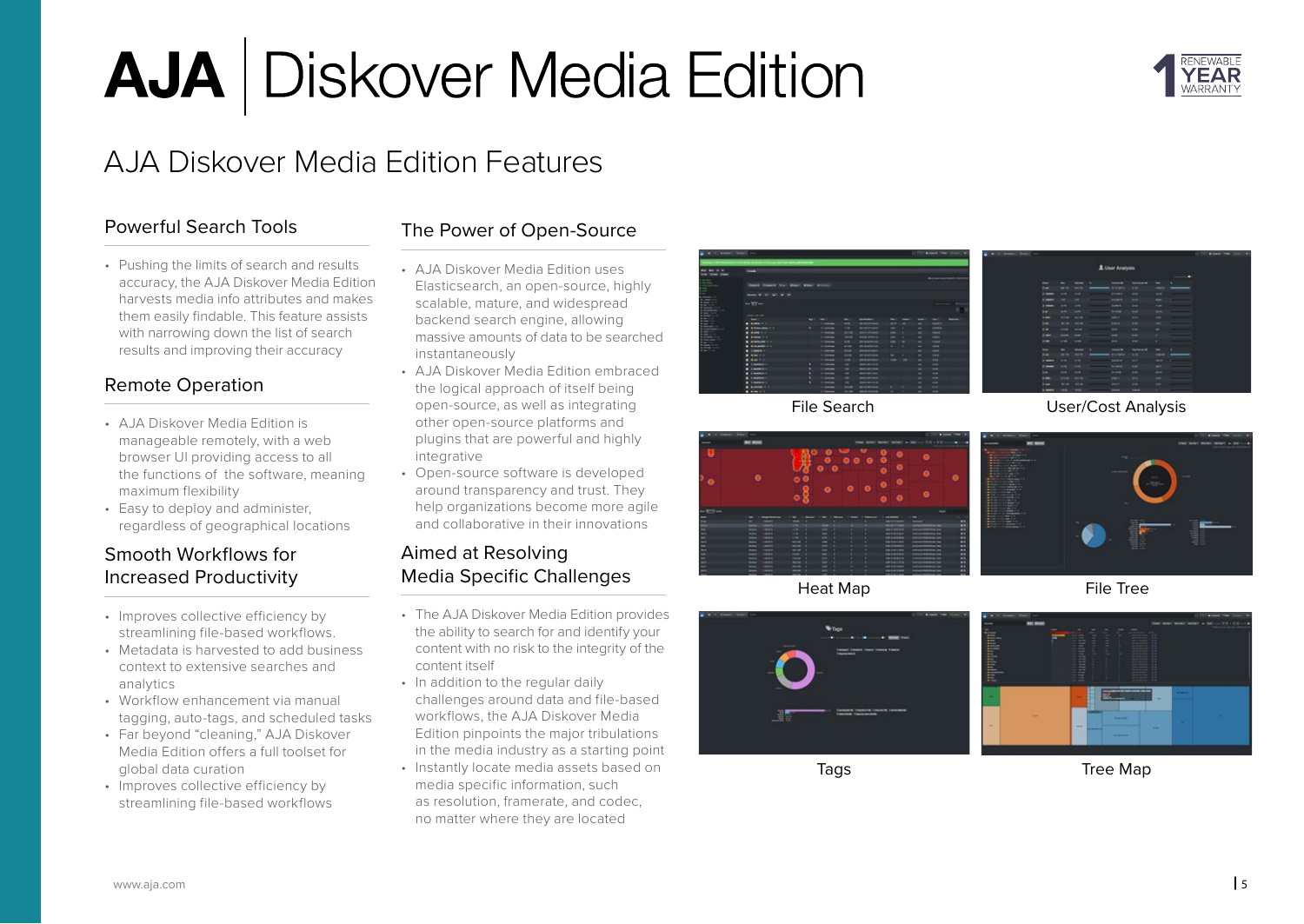

### AJA Diskover Media Edition Features

#### Powerful Search Tools

• Pushing the limits of search and results accuracy, the AJA Diskover Media Edition harvests media info attributes and makes them easily findable. This feature assists with narrowing down the list of search results and improving their accuracy

#### Remote Operation

- AJA Diskover Media Edition is manageable remotely, with a web browser UI providing access to all the functions of the software, meaning maximum flexibility
- Easy to deploy and administer, regardless of geographical locations

#### Smooth Workflows for Increased Productivity

- Improves collective efficiency by streamlining file-based workflows.
- Metadata is harvested to add business context to extensive searches and analytics
- Workflow enhancement via manual tagging, auto-tags, and scheduled tasks
- Far beyond "cleaning," AJA Diskover Media Edition offers a full toolset for global data curation
- Improves collective efficiency by streamlining file-based workflows

#### The Power of Open-Source

- AJA Diskover Media Edition uses Elasticsearch, an open-source, highly scalable, mature, and widespread backend search engine, allowing massive amounts of data to be searched instantaneously
- AJA Diskover Media Edition embraced the logical approach of itself being open-source, as well as integrating other open-source platforms and plugins that are powerful and highly integrative
- Open-source software is developed around transparency and trust. They help organizations become more agile and collaborative in their innovations

#### Aimed at Resolving Media Specific Challenges

- The AJA Diskover Media Edition provides the ability to search for and identify your content with no risk to the integrity of the content itself
- In addition to the regular daily challenges around data and file-based workflows, the AJA Diskover Media Edition pinpoints the major tribulations in the media industry as a starting point
- Instantly locate media assets based on media specific information, such as resolution, framerate, and codec, no matter where they are located



File Search





[User/Cost Analysis](https://www.aja.com/products/aja-diskover-media-edition)





#### File Tree



**Tags** 

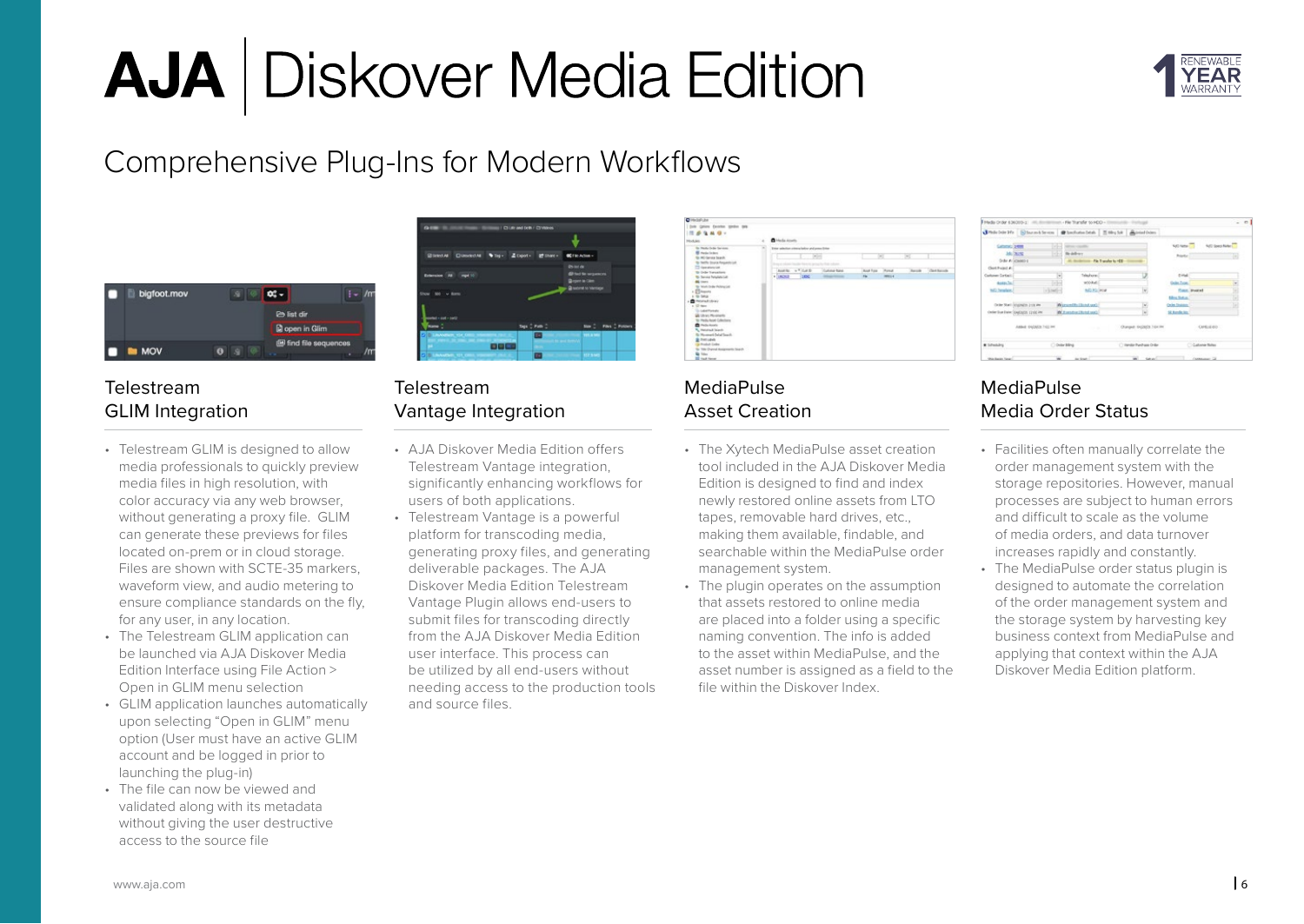

### Comprehensive Plug-Ins for Modern Workflows



#### Telestream GLIM Integration

- Telestream GLIM is designed to allow media professionals to quickly preview media files in high resolution, with color accuracy via any web browser, without generating a proxy file. GLIM can generate these previews for files located on-prem or in cloud storage. Files are shown with SCTE-35 markers, waveform view, and audio metering to ensure compliance standards on the fly, for any user, in any location.
- The Telestream GLIM application can be launched via AJA Diskover Media Edition Interface using File Action > Open in GLIM menu selection
- GLIM application launches automatically upon selecting "Open in GLIM" menu option (User must have an active GLIM account and be logged in prior to launching the plug-in)
- The file can now be viewed and validated along with its metadata without giving the user destructive access to the source file

| $0 =$                                          | CHE and tells / ClyMees |                                                             |                 |
|------------------------------------------------|-------------------------|-------------------------------------------------------------|-----------------|
|                                                |                         |                                                             |                 |
| Blooder Closecold They Liberty Closey Creagues |                         |                                                             |                 |
| Estension (All Crept 10)                       |                         | 0.916<br><b>@ hid to sequences</b><br><b>Brown in Citre</b> |                 |
| <b>Show : 500 - 6 Barro</b>                    |                         | <b>Quotest to Vantice</b>                                   |                 |
| $1 - 100 - 100$                                |                         |                                                             |                 |
|                                                | tiqu () Path ()         | me di                                                       | Film 2 Policers |
| <b>Janvier 154.0</b>                           | c                       | 115.8 141<br>Life and formula                               |                 |
| 8868                                           |                         |                                                             |                 |
|                                                | _                       | _____                                                       |                 |

#### Telestream Vantage Integration

- AJA Diskover Media Edition offers Telestream Vantage integration, significantly enhancing workflows for users of both applications.
- Telestream Vantage is a powerful platform for transcoding media, generating proxy files, and generating deliverable packages. The AJA Diskover Media Edition Telestream Vantage Plugin allows end-users to submit files for transcoding directly from the AJA Diskover Media Edition user interface. This process can be utilized by all end-users without needing access to the production tools and source files.



#### MediaPulse Asset Creation

- The Xytech MediaPulse asset creation tool included in the AJA Diskover Media Edition is designed to find and index newly restored online assets from LTO tapes, removable hard drives, etc., making them available, findable, and searchable within the MediaPulse order management system.
- The plugin operates on the assumption that assets restored to online media are placed into a folder using a specific naming convention. The info is added to the asset within MediaPulse, and the asset number is assigned as a field to the file within the Diskover Index.

|                         | Heda Order 436003-2 (iii), doctor to an effective star for to HCO + international distribution |                |                                    |                           |                         |                   | $-$ 0 |
|-------------------------|------------------------------------------------------------------------------------------------|----------------|------------------------------------|---------------------------|-------------------------|-------------------|-------|
|                         | Jitdeburkte Stemsberon @beforebash Ethubk Anteloim                                             |                |                                    |                           |                         |                   |       |
| <b>Catterini</b> 1989   |                                                                                                | œ              | <b>SERVICE COUNTRY</b>             |                           | NATI Nata (1)           | N/O Securitates   |       |
| <b>McDON</b>            |                                                                                                | an a           | <b>Briddham</b>                    |                           | Posts:                  |                   | Té)   |
|                         | Order #1 (456060-6)                                                                            |                | All dealership Pik Transfer to HDD |                           |                         |                   |       |
| Close Pagest #1         |                                                                                                |                |                                    |                           |                         |                   |       |
| Column Corkell          |                                                                                                | ×              | Telephone                          |                           | <b>City</b>             |                   |       |
| Auto St.                |                                                                                                | - 14           | whiched.                           |                           | <b>Dale Fox</b>         |                   |       |
| tol) Sendano            |                                                                                                | in Linkford    | <b>NOTO FOR</b>                    |                           |                         | Court, Sheekeed   |       |
|                         |                                                                                                |                |                                    |                           | <b>Moutheas</b>         |                   |       |
|                         | Order Start Congraphs 2100 PM                                                                  |                | Wernesday Chand and                | $\omega$                  | Order Students          |                   |       |
|                         | Order from Entre Conditions survice line                                                       |                | We manuface (Market spack)         | w.                        | <b>St. AutoBr. Inc.</b> |                   |       |
|                         |                                                                                                |                |                                    |                           |                         | CAMELEOO          |       |
|                         | Address EN/OBSIDE 7:022 PM                                                                     |                | <b>COLLEGE</b>                     | Changed: 04(20)23 7:04 PM |                         |                   |       |
| * Internet              |                                                                                                | C Onlin Biling |                                    | C Handar Punitrase Order  |                         | C Cultural Stress |       |
| <b>Ship Beats Time:</b> |                                                                                                |                | As Start                           | m Seal                    |                         | Commercial        |       |

#### MediaPulse Media Order Status

- Facilities often manually correlate the order management system with the storage repositories. However, manual processes are subject to human errors and difficult to scale as the volume of media orders, and data turnover increases rapidly and constantly.
- The MediaPulse order status plugin is designed to automate the correlation of the order management system and the storage system by harvesting key business context from MediaPulse and applying that context within the AJA Diskover Media Edition platform.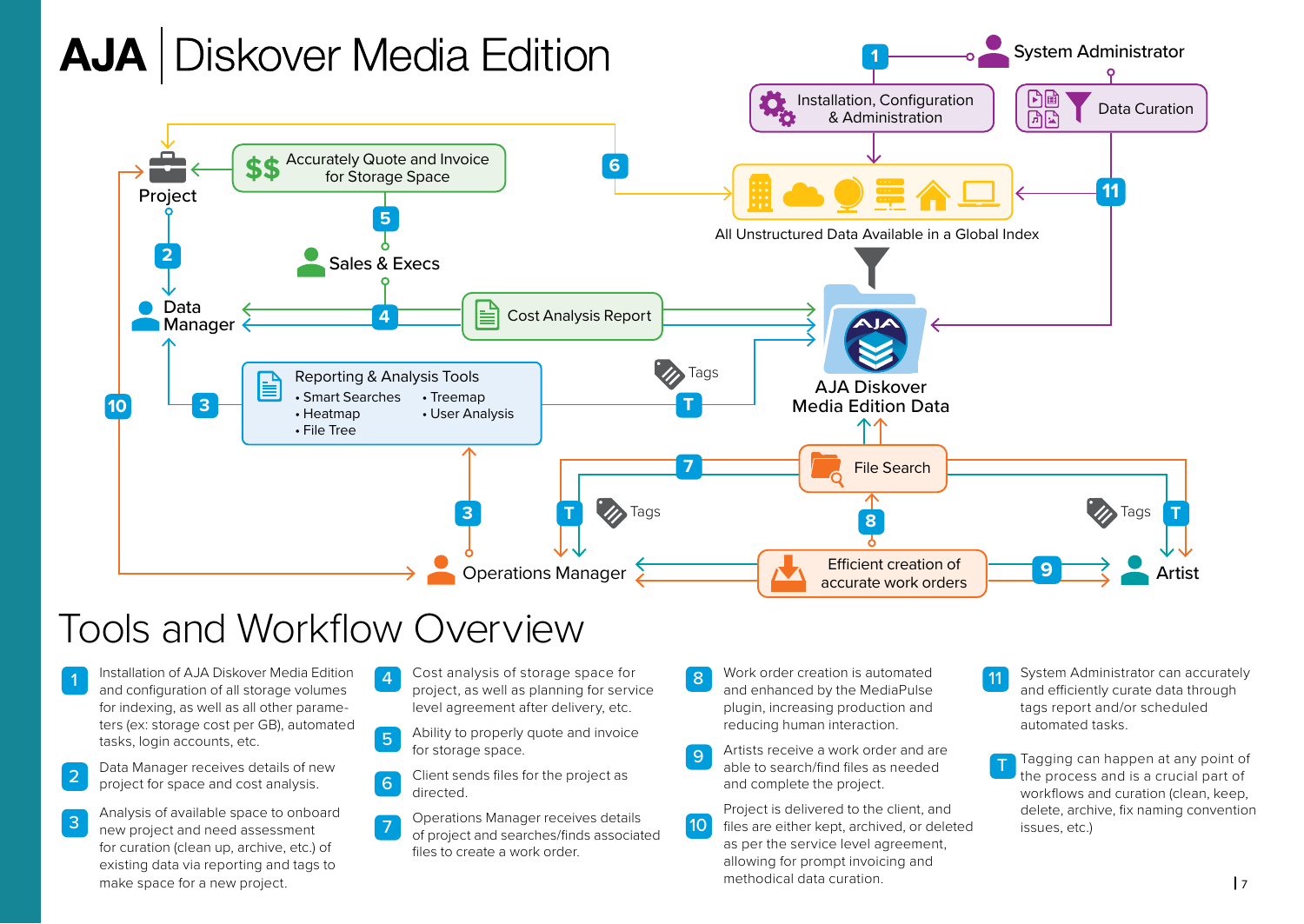

## Tools and Workflow Overview

- 1 Installation of AJA Diskover Media Edition and configuration of all storage volumes for indexing, as well as all other parameters (ex: storage cost per GB), automated tasks, login accounts, etc.
- Data Manager receives details of new project for space and cost analysis. 2
- Analysis of available space to onboard new project and need assessment for curation (clean up, archive, etc.) of existing data via reporting and tags to make space for a new project. 3
- 4 Cost analysis of storage space for project, as well as planning for service level agreement after delivery, etc.
- Ability to properly quote and invoice for storage space. 5
- Client sends files for the project as directed. 6
- Operations Manager receives details of project and searches/finds associated files to create a work order. 7
- 8 Work order creation is automated and enhanced by the MediaPulse plugin, increasing production and reducing human interaction.
- Artists receive a work order and are able to search/find files as needed and complete the project. 9
- Project is delivered to the client, and files are either kept, archived, or deleted as per the service level agreement, allowing for prompt invoicing and methodical data curation.  $10<sup>1</sup>$
- 11 System Administrator can accurately and efficiently curate data through tags report and/or scheduled automated tasks.
- Tagging can happen at any point of the process and is a crucial part of workflows and curation (clean, keep, delete, archive, fix naming convention issues, etc.) T